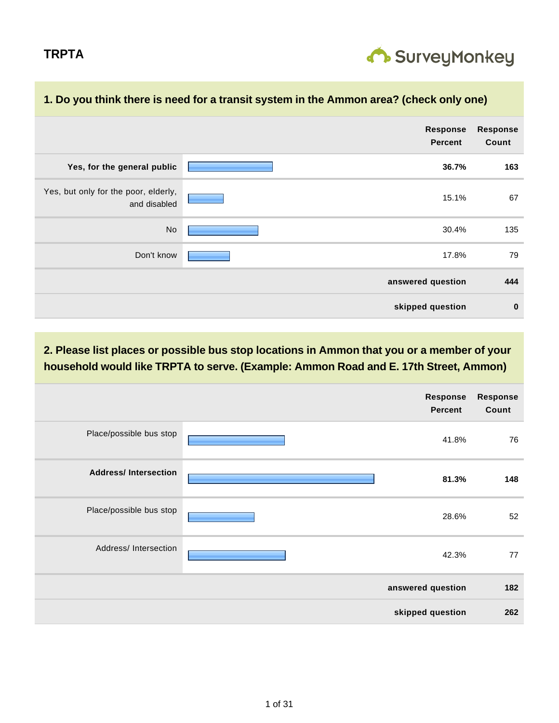

| 1. Do you think there is need for a transit system in the Ammon area? (check only one) |                                   |                          |  |  |
|----------------------------------------------------------------------------------------|-----------------------------------|--------------------------|--|--|
|                                                                                        | <b>Response</b><br><b>Percent</b> | <b>Response</b><br>Count |  |  |
| Yes, for the general public                                                            | 36.7%                             | 163                      |  |  |
| Yes, but only for the poor, elderly,<br>and disabled                                   | 15.1%                             | 67                       |  |  |
| No                                                                                     | 30.4%                             | 135                      |  |  |
| Don't know                                                                             | 17.8%                             | 79                       |  |  |
|                                                                                        | answered question                 | 444                      |  |  |
|                                                                                        | skipped question                  | $\bf{0}$                 |  |  |

## **1. Do you think there is need for a transit system in the Ammon area? (check only one)**

|                             |  | Response<br><b>Percent</b> | <b>Response</b><br>Count |
|-----------------------------|--|----------------------------|--------------------------|
| Place/possible bus stop     |  | 41.8%                      | 76                       |
| <b>Address/Intersection</b> |  | 81.3%                      | 148                      |
| Place/possible bus stop     |  |                            | 52                       |
| Address/ Intersection       |  | 42.3%                      | 77                       |
|                             |  | answered question          | 182                      |
|                             |  | skipped question           | 262                      |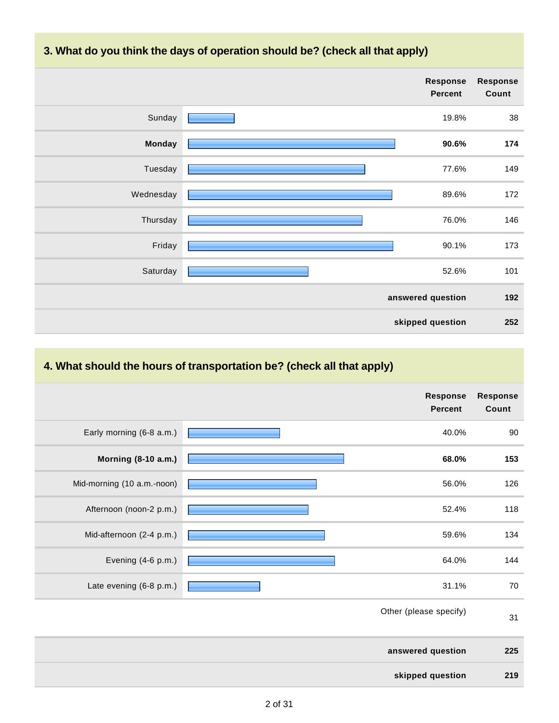**3. What do you think the days of operation should be? (check all that apply)**



## **4. What should the hours of transportation be? (check all that apply)**

| <b>Response</b><br>Count | Response<br><b>Percent</b> |                            |
|--------------------------|----------------------------|----------------------------|
| 90                       | 40.0%                      | Early morning (6-8 a.m.)   |
| 153                      | 68.0%                      | Morning (8-10 a.m.)        |
| 126                      | 56.0%                      | Mid-morning (10 a.m.-noon) |
| 118                      | 52.4%                      | Afternoon (noon-2 p.m.)    |
| 134                      | 59.6%                      | Mid-afternoon (2-4 p.m.)   |
| 144                      | 64.0%                      | Evening (4-6 p.m.)         |
| 70                       | 31.1%                      | Late evening (6-8 p.m.)    |
| 31                       | Other (please specify)     |                            |
| 225                      | answered question          |                            |
| 219                      | skipped question           |                            |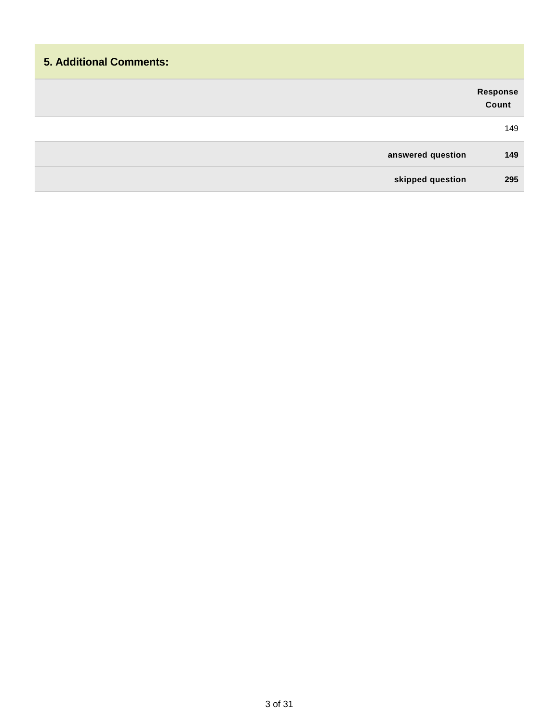# **5. Additional Comments: Response Count** 149 **answered question 149 skipped question 295**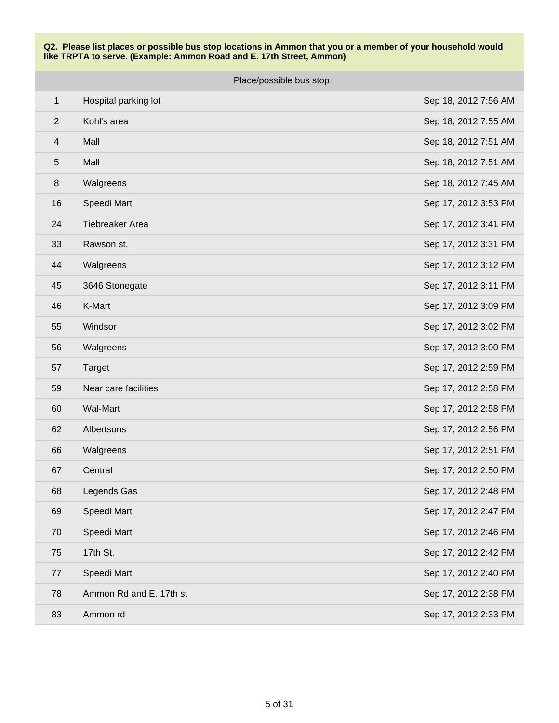|                          | Place/possible bus stop |                      |  |
|--------------------------|-------------------------|----------------------|--|
| $\mathbf 1$              | Hospital parking lot    | Sep 18, 2012 7:56 AM |  |
| $\overline{2}$           | Kohl's area             | Sep 18, 2012 7:55 AM |  |
| $\overline{\mathcal{A}}$ | Mall                    | Sep 18, 2012 7:51 AM |  |
| 5                        | Mall                    | Sep 18, 2012 7:51 AM |  |
| 8                        | Walgreens               | Sep 18, 2012 7:45 AM |  |
| 16                       | Speedi Mart             | Sep 17, 2012 3:53 PM |  |
| 24                       | Tiebreaker Area         | Sep 17, 2012 3:41 PM |  |
| 33                       | Rawson st.              | Sep 17, 2012 3:31 PM |  |
| 44                       | Walgreens               | Sep 17, 2012 3:12 PM |  |
| 45                       | 3646 Stonegate          | Sep 17, 2012 3:11 PM |  |
| 46                       | K-Mart                  | Sep 17, 2012 3:09 PM |  |
| 55                       | Windsor                 | Sep 17, 2012 3:02 PM |  |
| 56                       | Walgreens               | Sep 17, 2012 3:00 PM |  |
| 57                       | <b>Target</b>           | Sep 17, 2012 2:59 PM |  |
| 59                       | Near care facilities    | Sep 17, 2012 2:58 PM |  |
| 60                       | <b>Wal-Mart</b>         | Sep 17, 2012 2:58 PM |  |
| 62                       | Albertsons              | Sep 17, 2012 2:56 PM |  |
| 66                       | Walgreens               | Sep 17, 2012 2:51 PM |  |
| 67                       | Central                 | Sep 17, 2012 2:50 PM |  |
| 68                       | Legends Gas             | Sep 17, 2012 2:48 PM |  |
| 69                       | Speedi Mart             | Sep 17, 2012 2:47 PM |  |
| 70                       | Speedi Mart             | Sep 17, 2012 2:46 PM |  |
| 75                       | 17th St.                | Sep 17, 2012 2:42 PM |  |
| 77                       | Speedi Mart             | Sep 17, 2012 2:40 PM |  |
| 78                       | Ammon Rd and E. 17th st | Sep 17, 2012 2:38 PM |  |
| 83                       | Ammon rd                | Sep 17, 2012 2:33 PM |  |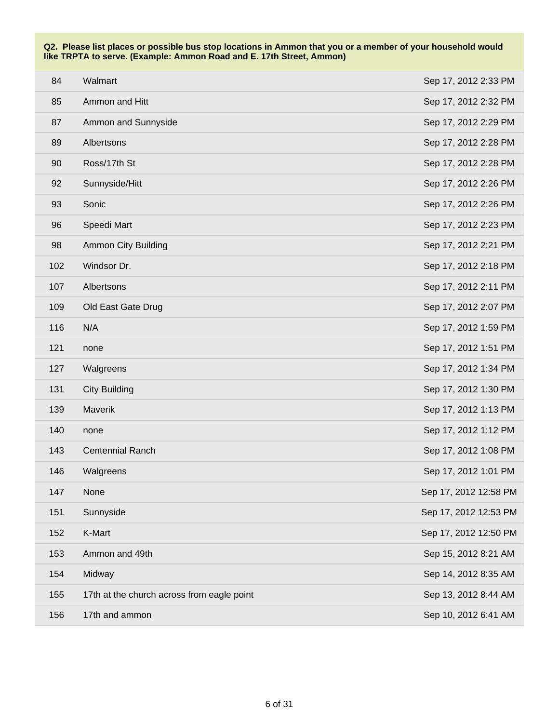| 84  | Walmart                                    | Sep 17, 2012 2:33 PM  |
|-----|--------------------------------------------|-----------------------|
| 85  | Ammon and Hitt                             | Sep 17, 2012 2:32 PM  |
| 87  | Ammon and Sunnyside                        | Sep 17, 2012 2:29 PM  |
| 89  | Albertsons                                 | Sep 17, 2012 2:28 PM  |
| 90  | Ross/17th St                               | Sep 17, 2012 2:28 PM  |
| 92  | Sunnyside/Hitt                             | Sep 17, 2012 2:26 PM  |
| 93  | Sonic                                      | Sep 17, 2012 2:26 PM  |
| 96  | Speedi Mart                                | Sep 17, 2012 2:23 PM  |
| 98  | <b>Ammon City Building</b>                 | Sep 17, 2012 2:21 PM  |
| 102 | Windsor Dr.                                | Sep 17, 2012 2:18 PM  |
| 107 | Albertsons                                 | Sep 17, 2012 2:11 PM  |
| 109 | Old East Gate Drug                         | Sep 17, 2012 2:07 PM  |
| 116 | N/A                                        | Sep 17, 2012 1:59 PM  |
| 121 | none                                       | Sep 17, 2012 1:51 PM  |
| 127 | Walgreens                                  | Sep 17, 2012 1:34 PM  |
| 131 | <b>City Building</b>                       | Sep 17, 2012 1:30 PM  |
| 139 | Maverik                                    | Sep 17, 2012 1:13 PM  |
| 140 | none                                       | Sep 17, 2012 1:12 PM  |
| 143 | <b>Centennial Ranch</b>                    | Sep 17, 2012 1:08 PM  |
| 146 | Walgreens                                  | Sep 17, 2012 1:01 PM  |
| 147 | None                                       | Sep 17, 2012 12:58 PM |
| 151 | Sunnyside                                  | Sep 17, 2012 12:53 PM |
| 152 | K-Mart                                     | Sep 17, 2012 12:50 PM |
| 153 | Ammon and 49th                             | Sep 15, 2012 8:21 AM  |
| 154 | Midway                                     | Sep 14, 2012 8:35 AM  |
| 155 | 17th at the church across from eagle point | Sep 13, 2012 8:44 AM  |
| 156 | 17th and ammon                             | Sep 10, 2012 6:41 AM  |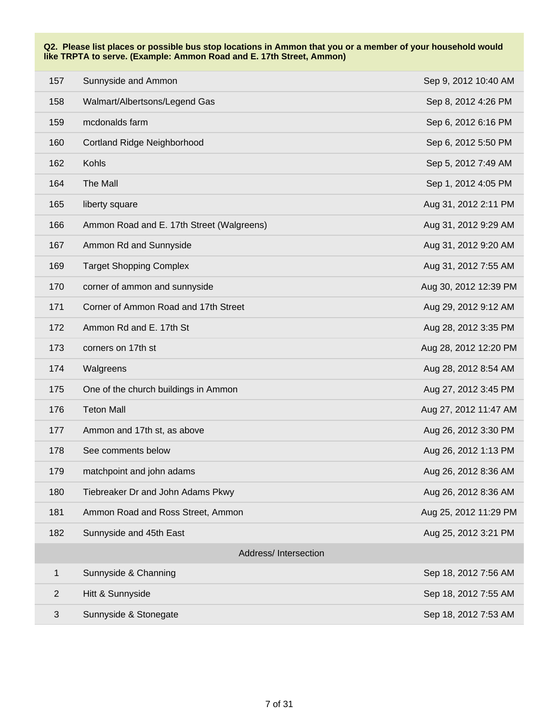| 157            | Sunnyside and Ammon                       | Sep 9, 2012 10:40 AM  |
|----------------|-------------------------------------------|-----------------------|
| 158            | Walmart/Albertsons/Legend Gas             | Sep 8, 2012 4:26 PM   |
| 159            | mcdonalds farm                            | Sep 6, 2012 6:16 PM   |
| 160            | Cortland Ridge Neighborhood               | Sep 6, 2012 5:50 PM   |
| 162            | Kohls                                     | Sep 5, 2012 7:49 AM   |
| 164            | The Mall                                  | Sep 1, 2012 4:05 PM   |
| 165            | liberty square                            | Aug 31, 2012 2:11 PM  |
| 166            | Ammon Road and E. 17th Street (Walgreens) | Aug 31, 2012 9:29 AM  |
| 167            | Ammon Rd and Sunnyside                    | Aug 31, 2012 9:20 AM  |
| 169            | <b>Target Shopping Complex</b>            | Aug 31, 2012 7:55 AM  |
| 170            | corner of ammon and sunnyside             | Aug 30, 2012 12:39 PM |
| 171            | Corner of Ammon Road and 17th Street      | Aug 29, 2012 9:12 AM  |
| 172            | Ammon Rd and E. 17th St                   | Aug 28, 2012 3:35 PM  |
| 173            | corners on 17th st                        | Aug 28, 2012 12:20 PM |
| 174            | Walgreens                                 | Aug 28, 2012 8:54 AM  |
| 175            | One of the church buildings in Ammon      | Aug 27, 2012 3:45 PM  |
| 176            | <b>Teton Mall</b>                         | Aug 27, 2012 11:47 AM |
| 177            | Ammon and 17th st, as above               | Aug 26, 2012 3:30 PM  |
| 178            | See comments below                        | Aug 26, 2012 1:13 PM  |
| 179            | matchpoint and john adams                 | Aug 26, 2012 8:36 AM  |
| 180            | Tiebreaker Dr and John Adams Pkwy         | Aug 26, 2012 8:36 AM  |
| 181            | Ammon Road and Ross Street, Ammon         | Aug 25, 2012 11:29 PM |
| 182            | Sunnyside and 45th East                   | Aug 25, 2012 3:21 PM  |
|                | Address/Intersection                      |                       |
| $\mathbf{1}$   | Sunnyside & Channing                      | Sep 18, 2012 7:56 AM  |
| $\overline{2}$ | Hitt & Sunnyside                          | Sep 18, 2012 7:55 AM  |
| 3              | Sunnyside & Stonegate                     | Sep 18, 2012 7:53 AM  |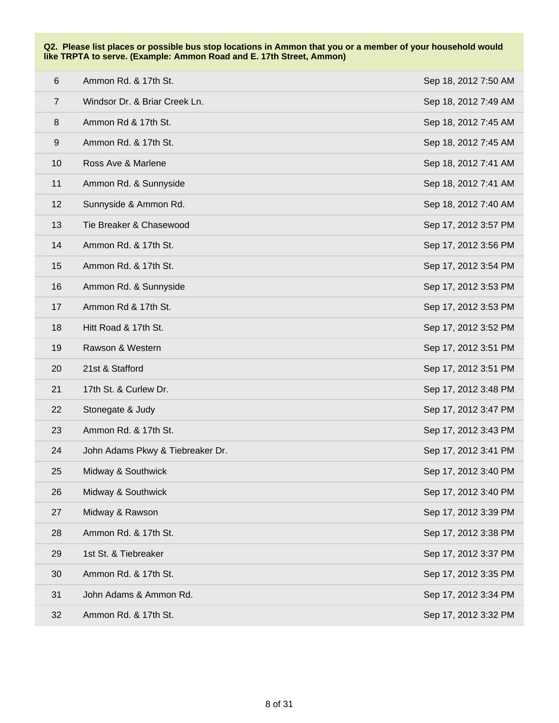| $6\phantom{1}6$ | Ammon Rd. & 17th St.             | Sep 18, 2012 7:50 AM |
|-----------------|----------------------------------|----------------------|
| $\overline{7}$  | Windsor Dr. & Briar Creek Ln.    | Sep 18, 2012 7:49 AM |
| $\,8\,$         | Ammon Rd & 17th St.              | Sep 18, 2012 7:45 AM |
| 9               | Ammon Rd. & 17th St.             | Sep 18, 2012 7:45 AM |
| 10              | Ross Ave & Marlene               | Sep 18, 2012 7:41 AM |
| 11              | Ammon Rd. & Sunnyside            | Sep 18, 2012 7:41 AM |
| 12              | Sunnyside & Ammon Rd.            | Sep 18, 2012 7:40 AM |
| 13              | Tie Breaker & Chasewood          | Sep 17, 2012 3:57 PM |
| 14              | Ammon Rd. & 17th St.             | Sep 17, 2012 3:56 PM |
| 15              | Ammon Rd. & 17th St.             | Sep 17, 2012 3:54 PM |
| 16              | Ammon Rd. & Sunnyside            | Sep 17, 2012 3:53 PM |
| 17              | Ammon Rd & 17th St.              | Sep 17, 2012 3:53 PM |
| 18              | Hitt Road & 17th St.             | Sep 17, 2012 3:52 PM |
| 19              | Rawson & Western                 | Sep 17, 2012 3:51 PM |
| 20              | 21st & Stafford                  | Sep 17, 2012 3:51 PM |
| 21              | 17th St. & Curlew Dr.            | Sep 17, 2012 3:48 PM |
| 22              | Stonegate & Judy                 | Sep 17, 2012 3:47 PM |
| 23              | Ammon Rd. & 17th St.             | Sep 17, 2012 3:43 PM |
| 24              | John Adams Pkwy & Tiebreaker Dr. | Sep 17, 2012 3:41 PM |
| 25              | Midway & Southwick               | Sep 17, 2012 3:40 PM |
| 26              | Midway & Southwick               | Sep 17, 2012 3:40 PM |
| 27              | Midway & Rawson                  | Sep 17, 2012 3:39 PM |
| 28              | Ammon Rd. & 17th St.             | Sep 17, 2012 3:38 PM |
| 29              | 1st St. & Tiebreaker             | Sep 17, 2012 3:37 PM |
| 30              | Ammon Rd. & 17th St.             | Sep 17, 2012 3:35 PM |
| 31              | John Adams & Ammon Rd.           | Sep 17, 2012 3:34 PM |
| 32              | Ammon Rd. & 17th St.             | Sep 17, 2012 3:32 PM |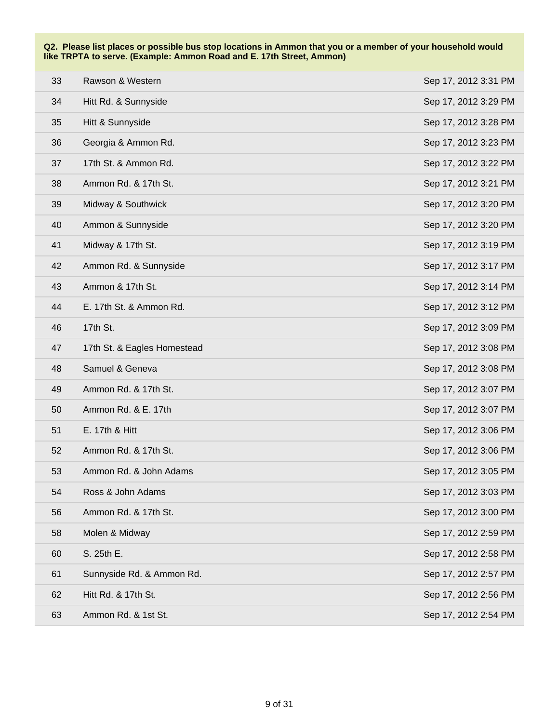| 33 | Rawson & Western            | Sep 17, 2012 3:31 PM |
|----|-----------------------------|----------------------|
| 34 | Hitt Rd. & Sunnyside        | Sep 17, 2012 3:29 PM |
| 35 | Hitt & Sunnyside            | Sep 17, 2012 3:28 PM |
| 36 | Georgia & Ammon Rd.         | Sep 17, 2012 3:23 PM |
| 37 | 17th St. & Ammon Rd.        | Sep 17, 2012 3:22 PM |
| 38 | Ammon Rd. & 17th St.        | Sep 17, 2012 3:21 PM |
| 39 | Midway & Southwick          | Sep 17, 2012 3:20 PM |
| 40 | Ammon & Sunnyside           | Sep 17, 2012 3:20 PM |
| 41 | Midway & 17th St.           | Sep 17, 2012 3:19 PM |
| 42 | Ammon Rd. & Sunnyside       | Sep 17, 2012 3:17 PM |
| 43 | Ammon & 17th St.            | Sep 17, 2012 3:14 PM |
| 44 | E. 17th St. & Ammon Rd.     | Sep 17, 2012 3:12 PM |
| 46 | 17th St.                    | Sep 17, 2012 3:09 PM |
| 47 | 17th St. & Eagles Homestead | Sep 17, 2012 3:08 PM |
| 48 | Samuel & Geneva             | Sep 17, 2012 3:08 PM |
| 49 | Ammon Rd. & 17th St.        | Sep 17, 2012 3:07 PM |
| 50 | Ammon Rd. & E. 17th         | Sep 17, 2012 3:07 PM |
| 51 | E. 17th & Hitt              | Sep 17, 2012 3:06 PM |
| 52 | Ammon Rd. & 17th St.        | Sep 17, 2012 3:06 PM |
| 53 | Ammon Rd. & John Adams      | Sep 17, 2012 3:05 PM |
| 54 | Ross & John Adams           | Sep 17, 2012 3:03 PM |
| 56 | Ammon Rd. & 17th St.        | Sep 17, 2012 3:00 PM |
| 58 | Molen & Midway              | Sep 17, 2012 2:59 PM |
| 60 | S. 25th E.                  | Sep 17, 2012 2:58 PM |
| 61 | Sunnyside Rd. & Ammon Rd.   | Sep 17, 2012 2:57 PM |
| 62 | Hitt Rd. & 17th St.         | Sep 17, 2012 2:56 PM |
| 63 | Ammon Rd. & 1st St.         | Sep 17, 2012 2:54 PM |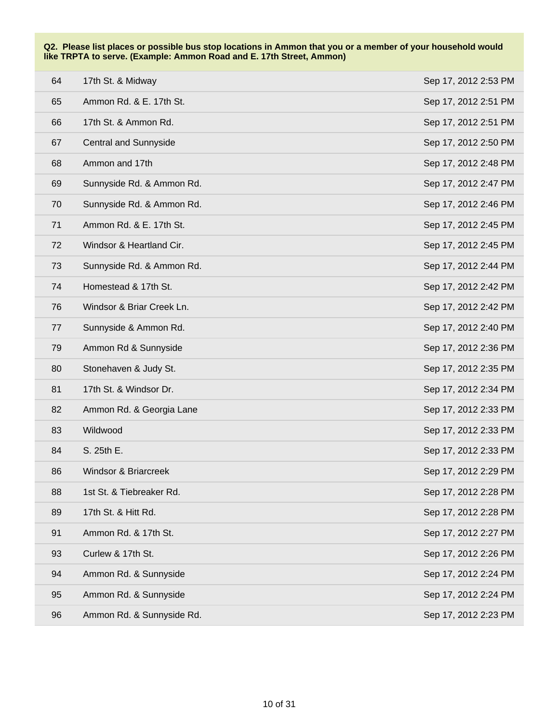| 64 | 17th St. & Midway               | Sep 17, 2012 2:53 PM |
|----|---------------------------------|----------------------|
| 65 | Ammon Rd. & E. 17th St.         | Sep 17, 2012 2:51 PM |
| 66 | 17th St. & Ammon Rd.            | Sep 17, 2012 2:51 PM |
| 67 | <b>Central and Sunnyside</b>    | Sep 17, 2012 2:50 PM |
| 68 | Ammon and 17th                  | Sep 17, 2012 2:48 PM |
| 69 | Sunnyside Rd. & Ammon Rd.       | Sep 17, 2012 2:47 PM |
| 70 | Sunnyside Rd. & Ammon Rd.       | Sep 17, 2012 2:46 PM |
| 71 | Ammon Rd. & E. 17th St.         | Sep 17, 2012 2:45 PM |
| 72 | Windsor & Heartland Cir.        | Sep 17, 2012 2:45 PM |
| 73 | Sunnyside Rd. & Ammon Rd.       | Sep 17, 2012 2:44 PM |
| 74 | Homestead & 17th St.            | Sep 17, 2012 2:42 PM |
| 76 | Windsor & Briar Creek Ln.       | Sep 17, 2012 2:42 PM |
| 77 | Sunnyside & Ammon Rd.           | Sep 17, 2012 2:40 PM |
| 79 | Ammon Rd & Sunnyside            | Sep 17, 2012 2:36 PM |
| 80 | Stonehaven & Judy St.           | Sep 17, 2012 2:35 PM |
| 81 | 17th St. & Windsor Dr.          | Sep 17, 2012 2:34 PM |
| 82 | Ammon Rd. & Georgia Lane        | Sep 17, 2012 2:33 PM |
| 83 | Wildwood                        | Sep 17, 2012 2:33 PM |
| 84 | S. 25th E.                      | Sep 17, 2012 2:33 PM |
| 86 | <b>Windsor &amp; Briarcreek</b> | Sep 17, 2012 2:29 PM |
| 88 | 1st St. & Tiebreaker Rd.        | Sep 17, 2012 2:28 PM |
| 89 | 17th St. & Hitt Rd.             | Sep 17, 2012 2:28 PM |
| 91 | Ammon Rd. & 17th St.            | Sep 17, 2012 2:27 PM |
| 93 | Curlew & 17th St.               | Sep 17, 2012 2:26 PM |
| 94 | Ammon Rd. & Sunnyside           | Sep 17, 2012 2:24 PM |
| 95 | Ammon Rd. & Sunnyside           | Sep 17, 2012 2:24 PM |
| 96 | Ammon Rd. & Sunnyside Rd.       | Sep 17, 2012 2:23 PM |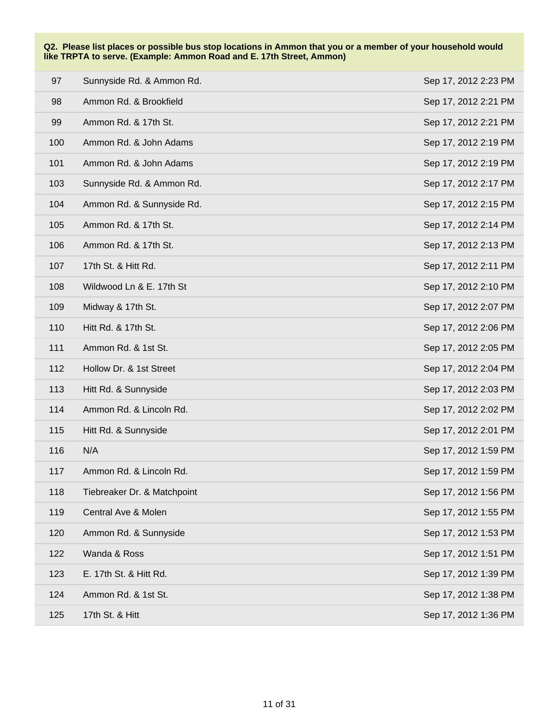| 97  | Sunnyside Rd. & Ammon Rd.   | Sep 17, 2012 2:23 PM |
|-----|-----------------------------|----------------------|
| 98  | Ammon Rd. & Brookfield      | Sep 17, 2012 2:21 PM |
| 99  | Ammon Rd. & 17th St.        | Sep 17, 2012 2:21 PM |
| 100 | Ammon Rd. & John Adams      | Sep 17, 2012 2:19 PM |
| 101 | Ammon Rd. & John Adams      | Sep 17, 2012 2:19 PM |
| 103 | Sunnyside Rd. & Ammon Rd.   | Sep 17, 2012 2:17 PM |
| 104 | Ammon Rd. & Sunnyside Rd.   | Sep 17, 2012 2:15 PM |
| 105 | Ammon Rd. & 17th St.        | Sep 17, 2012 2:14 PM |
| 106 | Ammon Rd. & 17th St.        | Sep 17, 2012 2:13 PM |
| 107 | 17th St. & Hitt Rd.         | Sep 17, 2012 2:11 PM |
| 108 | Wildwood Ln & E. 17th St    | Sep 17, 2012 2:10 PM |
| 109 | Midway & 17th St.           | Sep 17, 2012 2:07 PM |
| 110 | Hitt Rd. & 17th St.         | Sep 17, 2012 2:06 PM |
| 111 | Ammon Rd. & 1st St.         | Sep 17, 2012 2:05 PM |
| 112 | Hollow Dr. & 1st Street     | Sep 17, 2012 2:04 PM |
| 113 | Hitt Rd. & Sunnyside        | Sep 17, 2012 2:03 PM |
| 114 | Ammon Rd. & Lincoln Rd.     | Sep 17, 2012 2:02 PM |
| 115 | Hitt Rd. & Sunnyside        | Sep 17, 2012 2:01 PM |
| 116 | N/A                         | Sep 17, 2012 1:59 PM |
| 117 | Ammon Rd. & Lincoln Rd.     | Sep 17, 2012 1:59 PM |
| 118 | Tiebreaker Dr. & Matchpoint | Sep 17, 2012 1:56 PM |
| 119 | Central Ave & Molen         | Sep 17, 2012 1:55 PM |
| 120 | Ammon Rd. & Sunnyside       | Sep 17, 2012 1:53 PM |
| 122 | Wanda & Ross                | Sep 17, 2012 1:51 PM |
| 123 | E. 17th St. & Hitt Rd.      | Sep 17, 2012 1:39 PM |
| 124 | Ammon Rd. & 1st St.         | Sep 17, 2012 1:38 PM |
| 125 | 17th St. & Hitt             | Sep 17, 2012 1:36 PM |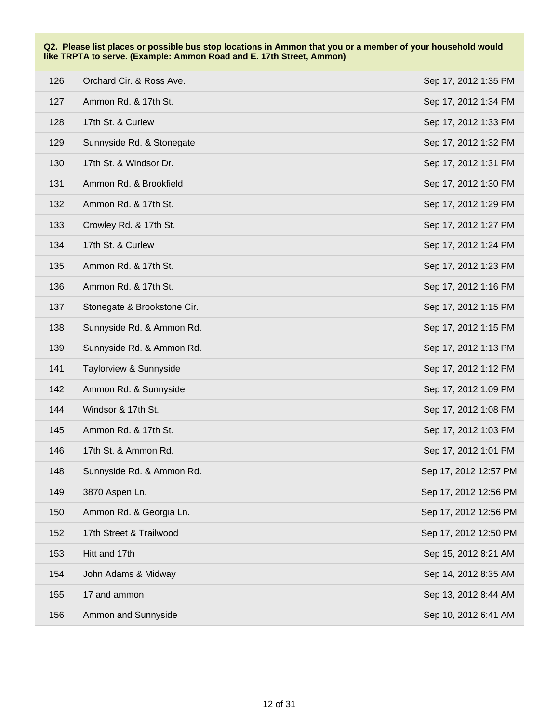| 126 | Orchard Cir. & Ross Ave.    | Sep 17, 2012 1:35 PM  |
|-----|-----------------------------|-----------------------|
| 127 | Ammon Rd. & 17th St.        | Sep 17, 2012 1:34 PM  |
| 128 | 17th St. & Curlew           | Sep 17, 2012 1:33 PM  |
| 129 | Sunnyside Rd. & Stonegate   | Sep 17, 2012 1:32 PM  |
| 130 | 17th St. & Windsor Dr.      | Sep 17, 2012 1:31 PM  |
| 131 | Ammon Rd. & Brookfield      | Sep 17, 2012 1:30 PM  |
| 132 | Ammon Rd. & 17th St.        | Sep 17, 2012 1:29 PM  |
| 133 | Crowley Rd. & 17th St.      | Sep 17, 2012 1:27 PM  |
| 134 | 17th St. & Curlew           | Sep 17, 2012 1:24 PM  |
| 135 | Ammon Rd. & 17th St.        | Sep 17, 2012 1:23 PM  |
| 136 | Ammon Rd. & 17th St.        | Sep 17, 2012 1:16 PM  |
| 137 | Stonegate & Brookstone Cir. | Sep 17, 2012 1:15 PM  |
| 138 | Sunnyside Rd. & Ammon Rd.   | Sep 17, 2012 1:15 PM  |
| 139 | Sunnyside Rd. & Ammon Rd.   | Sep 17, 2012 1:13 PM  |
| 141 | Taylorview & Sunnyside      | Sep 17, 2012 1:12 PM  |
| 142 | Ammon Rd. & Sunnyside       | Sep 17, 2012 1:09 PM  |
| 144 | Windsor & 17th St.          | Sep 17, 2012 1:08 PM  |
| 145 | Ammon Rd. & 17th St.        | Sep 17, 2012 1:03 PM  |
| 146 | 17th St. & Ammon Rd.        | Sep 17, 2012 1:01 PM  |
| 148 | Sunnyside Rd. & Ammon Rd.   | Sep 17, 2012 12:57 PM |
| 149 | 3870 Aspen Ln.              | Sep 17, 2012 12:56 PM |
| 150 | Ammon Rd. & Georgia Ln.     | Sep 17, 2012 12:56 PM |
| 152 | 17th Street & Trailwood     | Sep 17, 2012 12:50 PM |
| 153 | Hitt and 17th               | Sep 15, 2012 8:21 AM  |
| 154 | John Adams & Midway         | Sep 14, 2012 8:35 AM  |
| 155 | 17 and ammon                | Sep 13, 2012 8:44 AM  |
| 156 | Ammon and Sunnyside         | Sep 10, 2012 6:41 AM  |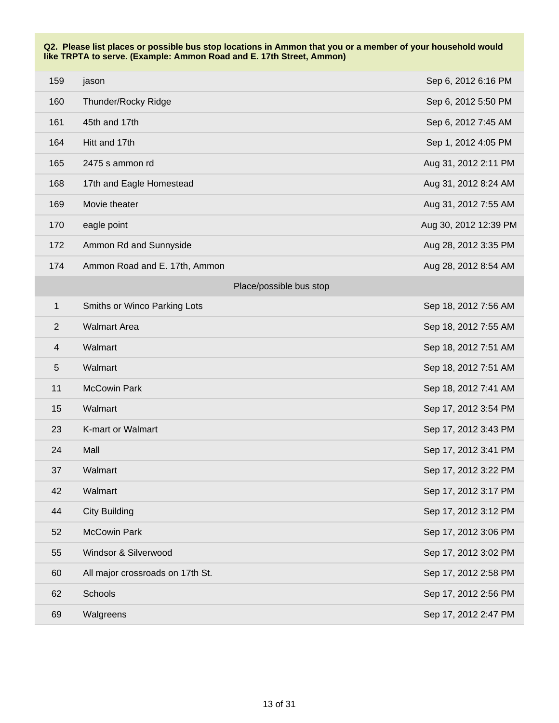| 159                     | jason                            | Sep 6, 2012 6:16 PM   |
|-------------------------|----------------------------------|-----------------------|
| 160                     | Thunder/Rocky Ridge              | Sep 6, 2012 5:50 PM   |
| 161                     | 45th and 17th                    | Sep 6, 2012 7:45 AM   |
| 164                     | Hitt and 17th                    | Sep 1, 2012 4:05 PM   |
| 165                     | 2475 s ammon rd                  | Aug 31, 2012 2:11 PM  |
| 168                     | 17th and Eagle Homestead         | Aug 31, 2012 8:24 AM  |
| 169                     | Movie theater                    | Aug 31, 2012 7:55 AM  |
| 170                     | eagle point                      | Aug 30, 2012 12:39 PM |
| 172                     | Ammon Rd and Sunnyside           | Aug 28, 2012 3:35 PM  |
| 174                     | Ammon Road and E. 17th, Ammon    | Aug 28, 2012 8:54 AM  |
|                         | Place/possible bus stop          |                       |
| $\mathbf 1$             | Smiths or Winco Parking Lots     | Sep 18, 2012 7:56 AM  |
| $\overline{2}$          | <b>Walmart Area</b>              | Sep 18, 2012 7:55 AM  |
| $\overline{\mathbf{4}}$ | Walmart                          | Sep 18, 2012 7:51 AM  |
| 5                       | Walmart                          | Sep 18, 2012 7:51 AM  |
| 11                      | <b>McCowin Park</b>              | Sep 18, 2012 7:41 AM  |
| 15                      | Walmart                          | Sep 17, 2012 3:54 PM  |
| 23                      | K-mart or Walmart                | Sep 17, 2012 3:43 PM  |
| 24                      | Mall                             | Sep 17, 2012 3:41 PM  |
| 37                      | Walmart                          | Sep 17, 2012 3:22 PM  |
| 42                      | Walmart                          | Sep 17, 2012 3:17 PM  |
| 44                      | <b>City Building</b>             | Sep 17, 2012 3:12 PM  |
| 52                      | <b>McCowin Park</b>              | Sep 17, 2012 3:06 PM  |
| 55                      | Windsor & Silverwood             | Sep 17, 2012 3:02 PM  |
| 60                      | All major crossroads on 17th St. | Sep 17, 2012 2:58 PM  |
| 62                      | Schools                          | Sep 17, 2012 2:56 PM  |
| 69                      | Walgreens                        | Sep 17, 2012 2:47 PM  |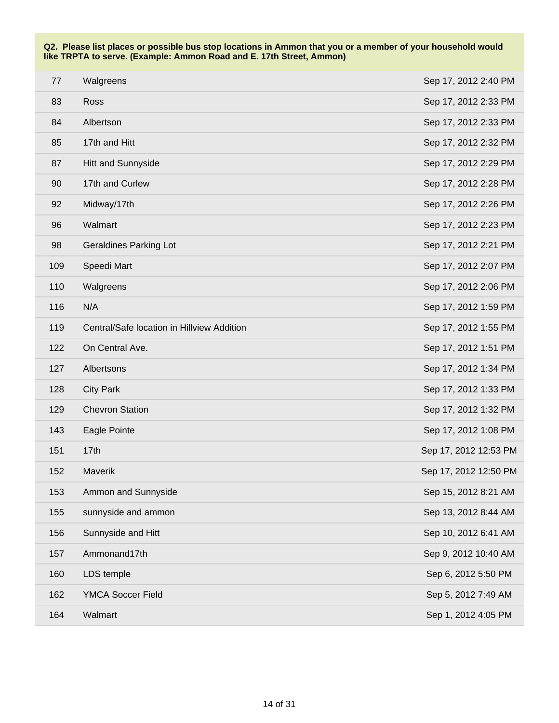| 77  | Walgreens                                  | Sep 17, 2012 2:40 PM  |
|-----|--------------------------------------------|-----------------------|
| 83  | Ross                                       | Sep 17, 2012 2:33 PM  |
| 84  | Albertson                                  | Sep 17, 2012 2:33 PM  |
| 85  | 17th and Hitt                              | Sep 17, 2012 2:32 PM  |
| 87  | Hitt and Sunnyside                         | Sep 17, 2012 2:29 PM  |
| 90  | 17th and Curlew                            | Sep 17, 2012 2:28 PM  |
| 92  | Midway/17th                                | Sep 17, 2012 2:26 PM  |
| 96  | Walmart                                    | Sep 17, 2012 2:23 PM  |
| 98  | <b>Geraldines Parking Lot</b>              | Sep 17, 2012 2:21 PM  |
| 109 | Speedi Mart                                | Sep 17, 2012 2:07 PM  |
| 110 | Walgreens                                  | Sep 17, 2012 2:06 PM  |
| 116 | N/A                                        | Sep 17, 2012 1:59 PM  |
| 119 | Central/Safe location in Hillview Addition | Sep 17, 2012 1:55 PM  |
| 122 | On Central Ave.                            | Sep 17, 2012 1:51 PM  |
| 127 | Albertsons                                 | Sep 17, 2012 1:34 PM  |
| 128 | <b>City Park</b>                           | Sep 17, 2012 1:33 PM  |
| 129 | <b>Chevron Station</b>                     | Sep 17, 2012 1:32 PM  |
| 143 | Eagle Pointe                               | Sep 17, 2012 1:08 PM  |
| 151 | 17th                                       | Sep 17, 2012 12:53 PM |
| 152 | Maverik                                    | Sep 17, 2012 12:50 PM |
| 153 | Ammon and Sunnyside                        | Sep 15, 2012 8:21 AM  |
| 155 | sunnyside and ammon                        | Sep 13, 2012 8:44 AM  |
| 156 | Sunnyside and Hitt                         | Sep 10, 2012 6:41 AM  |
| 157 | Ammonand17th                               | Sep 9, 2012 10:40 AM  |
| 160 | LDS temple                                 | Sep 6, 2012 5:50 PM   |
| 162 | YMCA Soccer Field                          | Sep 5, 2012 7:49 AM   |
| 164 | Walmart                                    | Sep 1, 2012 4:05 PM   |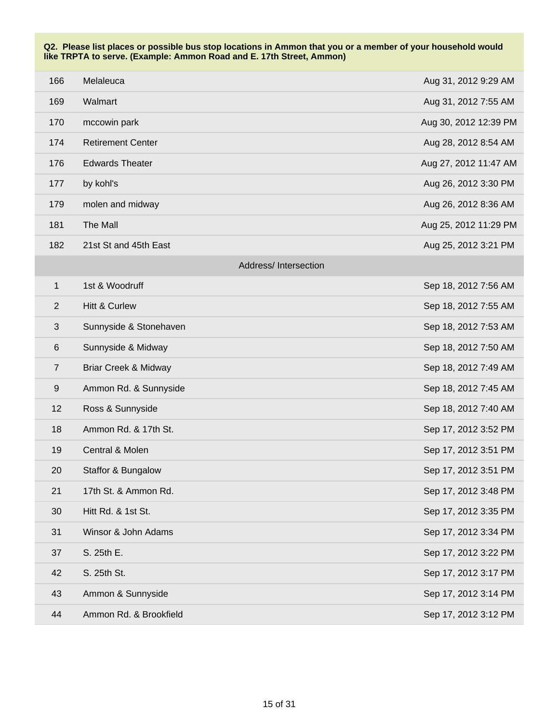| 166              | Melaleuca                       | Aug 31, 2012 9:29 AM  |
|------------------|---------------------------------|-----------------------|
| 169              | Walmart                         | Aug 31, 2012 7:55 AM  |
| 170              | mccowin park                    | Aug 30, 2012 12:39 PM |
| 174              | <b>Retirement Center</b>        | Aug 28, 2012 8:54 AM  |
| 176              | <b>Edwards Theater</b>          | Aug 27, 2012 11:47 AM |
| 177              | by kohl's                       | Aug 26, 2012 3:30 PM  |
| 179              | molen and midway                | Aug 26, 2012 8:36 AM  |
| 181              | The Mall                        | Aug 25, 2012 11:29 PM |
| 182              | 21st St and 45th East           | Aug 25, 2012 3:21 PM  |
|                  | Address/Intersection            |                       |
| $\mathbf{1}$     | 1st & Woodruff                  | Sep 18, 2012 7:56 AM  |
| $\overline{2}$   | <b>Hitt &amp; Curlew</b>        | Sep 18, 2012 7:55 AM  |
| $\sqrt{3}$       | Sunnyside & Stonehaven          | Sep 18, 2012 7:53 AM  |
| $\,6$            | Sunnyside & Midway              | Sep 18, 2012 7:50 AM  |
| $\overline{7}$   | <b>Briar Creek &amp; Midway</b> | Sep 18, 2012 7:49 AM  |
| $\boldsymbol{9}$ | Ammon Rd. & Sunnyside           | Sep 18, 2012 7:45 AM  |
| 12               | Ross & Sunnyside                | Sep 18, 2012 7:40 AM  |
| 18               | Ammon Rd. & 17th St.            | Sep 17, 2012 3:52 PM  |
| 19               | Central & Molen                 | Sep 17, 2012 3:51 PM  |
| 20               | Staffor & Bungalow              | Sep 17, 2012 3:51 PM  |
| 21               | 17th St. & Ammon Rd.            | Sep 17, 2012 3:48 PM  |
| 30               | Hitt Rd. & 1st St.              | Sep 17, 2012 3:35 PM  |
| 31               | Winsor & John Adams             | Sep 17, 2012 3:34 PM  |
| 37               | S. 25th E.                      | Sep 17, 2012 3:22 PM  |
| 42               | S. 25th St.                     | Sep 17, 2012 3:17 PM  |
| 43               | Ammon & Sunnyside               | Sep 17, 2012 3:14 PM  |
| 44               | Ammon Rd. & Brookfield          | Sep 17, 2012 3:12 PM  |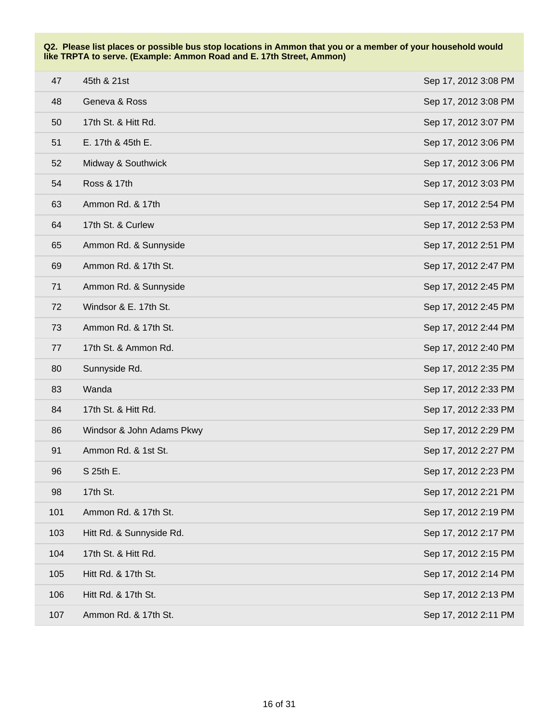| 47  | 45th & 21st               | Sep 17, 2012 3:08 PM |
|-----|---------------------------|----------------------|
| 48  | Geneva & Ross             | Sep 17, 2012 3:08 PM |
| 50  | 17th St. & Hitt Rd.       | Sep 17, 2012 3:07 PM |
| 51  | E. 17th & 45th E.         | Sep 17, 2012 3:06 PM |
| 52  | Midway & Southwick        | Sep 17, 2012 3:06 PM |
| 54  | <b>Ross &amp; 17th</b>    | Sep 17, 2012 3:03 PM |
| 63  | Ammon Rd. & 17th          | Sep 17, 2012 2:54 PM |
| 64  | 17th St. & Curlew         | Sep 17, 2012 2:53 PM |
| 65  | Ammon Rd. & Sunnyside     | Sep 17, 2012 2:51 PM |
| 69  | Ammon Rd. & 17th St.      | Sep 17, 2012 2:47 PM |
| 71  | Ammon Rd. & Sunnyside     | Sep 17, 2012 2:45 PM |
| 72  | Windsor & E. 17th St.     | Sep 17, 2012 2:45 PM |
| 73  | Ammon Rd. & 17th St.      | Sep 17, 2012 2:44 PM |
| 77  | 17th St. & Ammon Rd.      | Sep 17, 2012 2:40 PM |
| 80  | Sunnyside Rd.             | Sep 17, 2012 2:35 PM |
| 83  | Wanda                     | Sep 17, 2012 2:33 PM |
| 84  | 17th St. & Hitt Rd.       | Sep 17, 2012 2:33 PM |
| 86  | Windsor & John Adams Pkwy | Sep 17, 2012 2:29 PM |
| 91  | Ammon Rd. & 1st St.       | Sep 17, 2012 2:27 PM |
| 96  | S 25th E.                 | Sep 17, 2012 2:23 PM |
| 98  | 17th St.                  | Sep 17, 2012 2:21 PM |
| 101 | Ammon Rd. & 17th St.      | Sep 17, 2012 2:19 PM |
| 103 | Hitt Rd. & Sunnyside Rd.  | Sep 17, 2012 2:17 PM |
| 104 | 17th St. & Hitt Rd.       | Sep 17, 2012 2:15 PM |
| 105 | Hitt Rd. & 17th St.       | Sep 17, 2012 2:14 PM |
| 106 | Hitt Rd. & 17th St.       | Sep 17, 2012 2:13 PM |
| 107 | Ammon Rd. & 17th St.      | Sep 17, 2012 2:11 PM |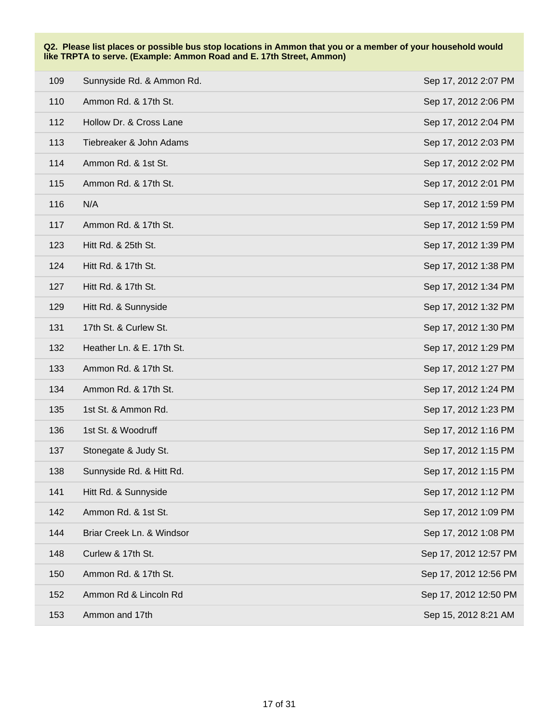| 109 | Sunnyside Rd. & Ammon Rd. | Sep 17, 2012 2:07 PM  |
|-----|---------------------------|-----------------------|
| 110 | Ammon Rd. & 17th St.      | Sep 17, 2012 2:06 PM  |
| 112 | Hollow Dr. & Cross Lane   | Sep 17, 2012 2:04 PM  |
| 113 | Tiebreaker & John Adams   | Sep 17, 2012 2:03 PM  |
| 114 | Ammon Rd. & 1st St.       | Sep 17, 2012 2:02 PM  |
| 115 | Ammon Rd. & 17th St.      | Sep 17, 2012 2:01 PM  |
| 116 | N/A                       | Sep 17, 2012 1:59 PM  |
| 117 | Ammon Rd. & 17th St.      | Sep 17, 2012 1:59 PM  |
| 123 | Hitt Rd. & 25th St.       | Sep 17, 2012 1:39 PM  |
| 124 | Hitt Rd. & 17th St.       | Sep 17, 2012 1:38 PM  |
| 127 | Hitt Rd. & 17th St.       | Sep 17, 2012 1:34 PM  |
| 129 | Hitt Rd. & Sunnyside      | Sep 17, 2012 1:32 PM  |
| 131 | 17th St. & Curlew St.     | Sep 17, 2012 1:30 PM  |
| 132 | Heather Ln. & E. 17th St. | Sep 17, 2012 1:29 PM  |
| 133 | Ammon Rd. & 17th St.      | Sep 17, 2012 1:27 PM  |
| 134 | Ammon Rd. & 17th St.      | Sep 17, 2012 1:24 PM  |
| 135 | 1st St. & Ammon Rd.       | Sep 17, 2012 1:23 PM  |
| 136 | 1st St. & Woodruff        | Sep 17, 2012 1:16 PM  |
| 137 | Stonegate & Judy St.      | Sep 17, 2012 1:15 PM  |
| 138 | Sunnyside Rd. & Hitt Rd.  | Sep 17, 2012 1:15 PM  |
| 141 | Hitt Rd. & Sunnyside      | Sep 17, 2012 1:12 PM  |
| 142 | Ammon Rd. & 1st St.       | Sep 17, 2012 1:09 PM  |
| 144 | Briar Creek Ln. & Windsor | Sep 17, 2012 1:08 PM  |
| 148 | Curlew & 17th St.         | Sep 17, 2012 12:57 PM |
| 150 | Ammon Rd. & 17th St.      | Sep 17, 2012 12:56 PM |
| 152 | Ammon Rd & Lincoln Rd     | Sep 17, 2012 12:50 PM |
| 153 | Ammon and 17th            | Sep 15, 2012 8:21 AM  |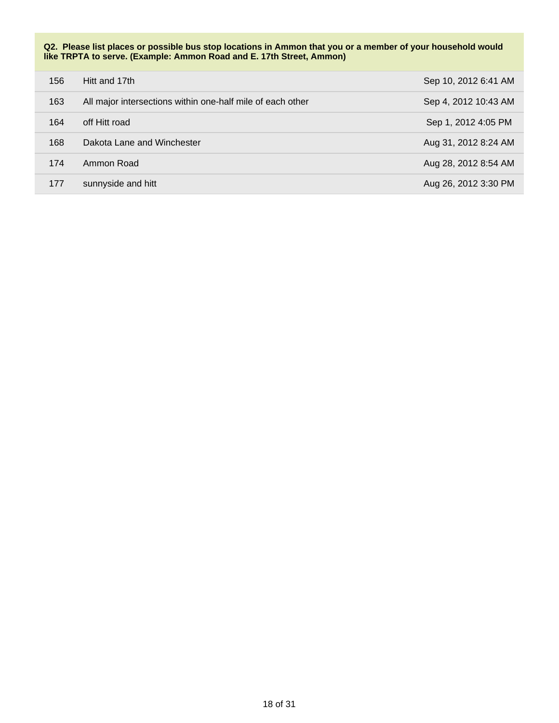**Q2. Please list places or possible bus stop locations in Ammon that you or a member of your household would like TRPTA to serve. (Example: Ammon Road and E. 17th Street, Ammon)**

| 156 | Hitt and 17th                                              | Sep 10, 2012 6:41 AM |
|-----|------------------------------------------------------------|----------------------|
| 163 | All major intersections within one-half mile of each other | Sep 4, 2012 10:43 AM |
| 164 | off Hitt road                                              | Sep 1, 2012 4:05 PM  |
| 168 | Dakota Lane and Winchester                                 | Aug 31, 2012 8:24 AM |
| 174 | Ammon Road                                                 | Aug 28, 2012 8:54 AM |
| 177 | sunnyside and hitt                                         | Aug 26, 2012 3:30 PM |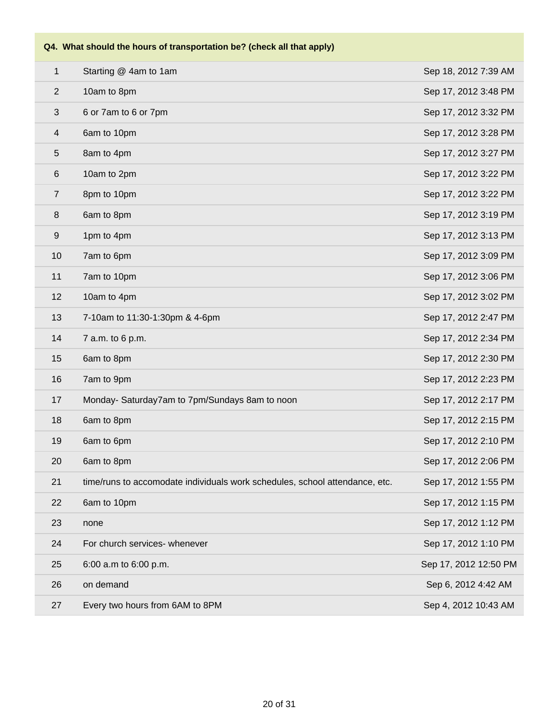| $\mathbf{1}$     | Starting @ 4am to 1am                                                       | Sep 18, 2012 7:39 AM  |
|------------------|-----------------------------------------------------------------------------|-----------------------|
| 2                | 10am to 8pm                                                                 | Sep 17, 2012 3:48 PM  |
| $\sqrt{3}$       | 6 or 7am to 6 or 7pm                                                        | Sep 17, 2012 3:32 PM  |
| 4                | 6am to 10pm                                                                 | Sep 17, 2012 3:28 PM  |
| 5                | 8am to 4pm                                                                  | Sep 17, 2012 3:27 PM  |
| $6\,$            | 10am to 2pm                                                                 | Sep 17, 2012 3:22 PM  |
| $\overline{7}$   | 8pm to 10pm                                                                 | Sep 17, 2012 3:22 PM  |
| $\,8\,$          | 6am to 8pm                                                                  | Sep 17, 2012 3:19 PM  |
| $\boldsymbol{9}$ | 1pm to 4pm                                                                  | Sep 17, 2012 3:13 PM  |
| 10               | 7am to 6pm                                                                  | Sep 17, 2012 3:09 PM  |
| 11               | 7am to 10pm                                                                 | Sep 17, 2012 3:06 PM  |
| 12               | 10am to 4pm                                                                 | Sep 17, 2012 3:02 PM  |
| 13               | 7-10am to 11:30-1:30pm & 4-6pm                                              | Sep 17, 2012 2:47 PM  |
| 14               | 7 a.m. to 6 p.m.                                                            | Sep 17, 2012 2:34 PM  |
| 15               | 6am to 8pm                                                                  | Sep 17, 2012 2:30 PM  |
| 16               | 7am to 9pm                                                                  | Sep 17, 2012 2:23 PM  |
| 17               | Monday- Saturday7am to 7pm/Sundays 8am to noon                              | Sep 17, 2012 2:17 PM  |
| 18               | 6am to 8pm                                                                  | Sep 17, 2012 2:15 PM  |
| 19               | 6am to 6pm                                                                  | Sep 17, 2012 2:10 PM  |
| 20               | 6am to 8pm                                                                  | Sep 17, 2012 2:06 PM  |
| 21               | time/runs to accomodate individuals work schedules, school attendance, etc. | Sep 17, 2012 1:55 PM  |
| 22               | 6am to 10pm                                                                 | Sep 17, 2012 1:15 PM  |
| 23               | none                                                                        | Sep 17, 2012 1:12 PM  |
| 24               | For church services- whenever                                               | Sep 17, 2012 1:10 PM  |
| 25               | 6:00 a.m to 6:00 p.m.                                                       | Sep 17, 2012 12:50 PM |
| 26               | on demand                                                                   | Sep 6, 2012 4:42 AM   |
| 27               | Every two hours from 6AM to 8PM                                             | Sep 4, 2012 10:43 AM  |
|                  |                                                                             |                       |

## **Q4. What should the hours of transportation be? (check all that apply)**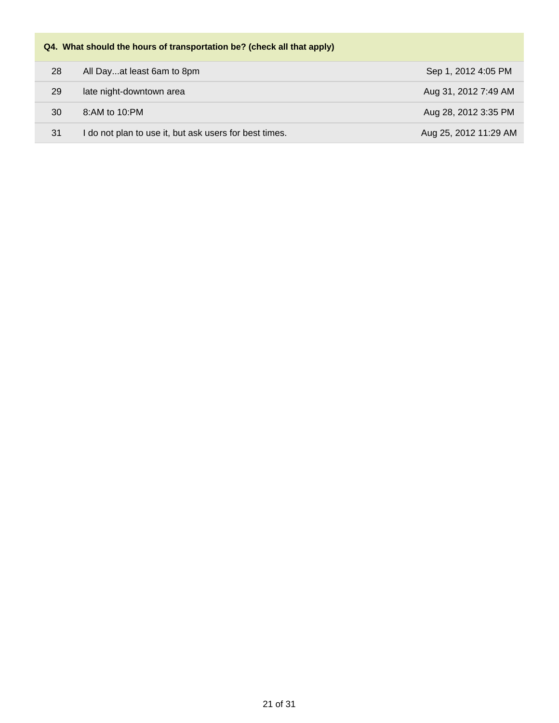# **Q4. What should the hours of transportation be? (check all that apply)** 28 All Day...at least 6am to 8pm Sep 1, 2012 4:05 PM 29 late night-downtown area **Aug 31, 2012 7:49 AM** 30 8:AM to 10:PM **Aug 28, 2012 3:35 PM** 31 I do not plan to use it, but ask users for best times. Aug 25, 2012 11:29 AM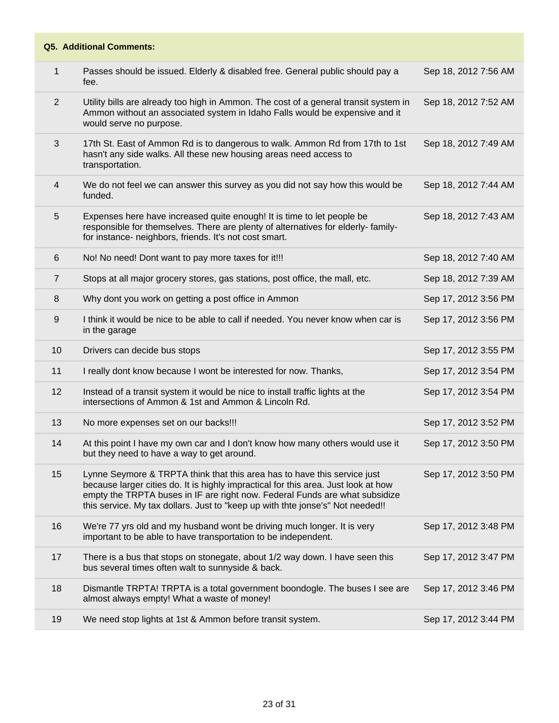| 1              | Passes should be issued. Elderly & disabled free. General public should pay a<br>fee.                                                                                                                                                                                                                                           | Sep 18, 2012 7:56 AM |
|----------------|---------------------------------------------------------------------------------------------------------------------------------------------------------------------------------------------------------------------------------------------------------------------------------------------------------------------------------|----------------------|
| 2              | Utility bills are already too high in Ammon. The cost of a general transit system in<br>Ammon without an associated system in Idaho Falls would be expensive and it<br>would serve no purpose.                                                                                                                                  | Sep 18, 2012 7:52 AM |
| 3              | 17th St. East of Ammon Rd is to dangerous to walk. Ammon Rd from 17th to 1st<br>hasn't any side walks. All these new housing areas need access to<br>transportation.                                                                                                                                                            | Sep 18, 2012 7:49 AM |
| $\overline{4}$ | We do not feel we can answer this survey as you did not say how this would be<br>funded.                                                                                                                                                                                                                                        | Sep 18, 2012 7:44 AM |
| 5              | Expenses here have increased quite enough! It is time to let people be<br>responsible for themselves. There are plenty of alternatives for elderly-family-<br>for instance- neighbors, friends. It's not cost smart.                                                                                                            | Sep 18, 2012 7:43 AM |
| 6              | No! No need! Dont want to pay more taxes for it!!!                                                                                                                                                                                                                                                                              | Sep 18, 2012 7:40 AM |
| $\overline{7}$ | Stops at all major grocery stores, gas stations, post office, the mall, etc.                                                                                                                                                                                                                                                    | Sep 18, 2012 7:39 AM |
| 8              | Why dont you work on getting a post office in Ammon                                                                                                                                                                                                                                                                             | Sep 17, 2012 3:56 PM |
| 9              | I think it would be nice to be able to call if needed. You never know when car is<br>in the garage                                                                                                                                                                                                                              | Sep 17, 2012 3:56 PM |
| 10             | Drivers can decide bus stops                                                                                                                                                                                                                                                                                                    | Sep 17, 2012 3:55 PM |
| 11             | I really dont know because I wont be interested for now. Thanks,                                                                                                                                                                                                                                                                | Sep 17, 2012 3:54 PM |
| 12             | Instead of a transit system it would be nice to install traffic lights at the<br>intersections of Ammon & 1st and Ammon & Lincoln Rd.                                                                                                                                                                                           | Sep 17, 2012 3:54 PM |
| 13             | No more expenses set on our backs!!!                                                                                                                                                                                                                                                                                            | Sep 17, 2012 3:52 PM |
| 14             | At this point I have my own car and I don't know how many others would use it<br>but they need to have a way to get around.                                                                                                                                                                                                     | Sep 17, 2012 3:50 PM |
| 15             | Lynne Seymore & TRPTA think that this area has to have this service just<br>because larger cities do. It is highly impractical for this area. Just look at how<br>empty the TRPTA buses in IF are right now. Federal Funds are what subsidize<br>this service. My tax dollars. Just to "keep up with thte jonse's" Not needed!! | Sep 17, 2012 3:50 PM |
| 16             | We're 77 yrs old and my husband wont be driving much longer. It is very<br>important to be able to have transportation to be independent.                                                                                                                                                                                       | Sep 17, 2012 3:48 PM |
| 17             | There is a bus that stops on stonegate, about 1/2 way down. I have seen this<br>bus several times often walt to sunnyside & back.                                                                                                                                                                                               | Sep 17, 2012 3:47 PM |
| 18             | Dismantle TRPTA! TRPTA is a total government boondogle. The buses I see are<br>almost always empty! What a waste of money!                                                                                                                                                                                                      | Sep 17, 2012 3:46 PM |
| 19             | We need stop lights at 1st & Ammon before transit system.                                                                                                                                                                                                                                                                       | Sep 17, 2012 3:44 PM |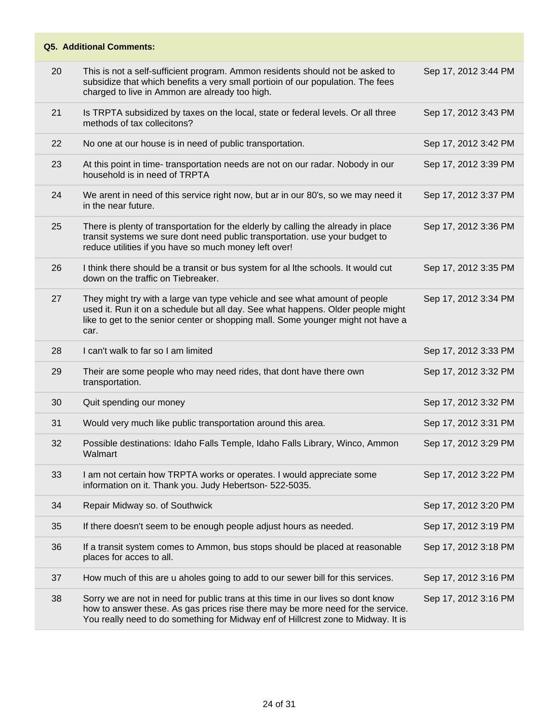| 20 |                                                                                                                                                                                                                                                           |                      |
|----|-----------------------------------------------------------------------------------------------------------------------------------------------------------------------------------------------------------------------------------------------------------|----------------------|
|    | This is not a self-sufficient program. Ammon residents should not be asked to<br>subsidize that which benefits a very small portioin of our population. The fees<br>charged to live in Ammon are already too high.                                        | Sep 17, 2012 3:44 PM |
| 21 | Is TRPTA subsidized by taxes on the local, state or federal levels. Or all three<br>methods of tax collecitons?                                                                                                                                           | Sep 17, 2012 3:43 PM |
| 22 | No one at our house is in need of public transportation.                                                                                                                                                                                                  | Sep 17, 2012 3:42 PM |
| 23 | At this point in time- transportation needs are not on our radar. Nobody in our<br>household is in need of TRPTA                                                                                                                                          | Sep 17, 2012 3:39 PM |
| 24 | We arent in need of this service right now, but ar in our 80's, so we may need it<br>in the near future.                                                                                                                                                  | Sep 17, 2012 3:37 PM |
| 25 | There is plenty of transportation for the elderly by calling the already in place<br>transit systems we sure dont need public transportation. use your budget to<br>reduce utilities if you have so much money left over!                                 | Sep 17, 2012 3:36 PM |
| 26 | I think there should be a transit or bus system for al lthe schools. It would cut<br>down on the traffic on Tiebreaker.                                                                                                                                   | Sep 17, 2012 3:35 PM |
| 27 | They might try with a large van type vehicle and see what amount of people<br>used it. Run it on a schedule but all day. See what happens. Older people might<br>like to get to the senior center or shopping mall. Some younger might not have a<br>car. | Sep 17, 2012 3:34 PM |
| 28 | I can't walk to far so I am limited                                                                                                                                                                                                                       | Sep 17, 2012 3:33 PM |
|    |                                                                                                                                                                                                                                                           |                      |
| 29 | Their are some people who may need rides, that dont have there own<br>transportation.                                                                                                                                                                     | Sep 17, 2012 3:32 PM |
| 30 | Quit spending our money                                                                                                                                                                                                                                   | Sep 17, 2012 3:32 PM |
| 31 | Would very much like public transportation around this area.                                                                                                                                                                                              | Sep 17, 2012 3:31 PM |
| 32 | Possible destinations: Idaho Falls Temple, Idaho Falls Library, Winco, Ammon<br>Walmart                                                                                                                                                                   | Sep 17, 2012 3:29 PM |
| 33 | I am not certain how TRPTA works or operates. I would appreciate some<br>information on it. Thank you. Judy Hebertson- 522-5035.                                                                                                                          | Sep 17, 2012 3:22 PM |
| 34 | Repair Midway so. of Southwick                                                                                                                                                                                                                            | Sep 17, 2012 3:20 PM |
| 35 | If there doesn't seem to be enough people adjust hours as needed.                                                                                                                                                                                         | Sep 17, 2012 3:19 PM |
| 36 | If a transit system comes to Ammon, bus stops should be placed at reasonable<br>places for acces to all.                                                                                                                                                  | Sep 17, 2012 3:18 PM |
| 37 | How much of this are u aholes going to add to our sewer bill for this services.                                                                                                                                                                           | Sep 17, 2012 3:16 PM |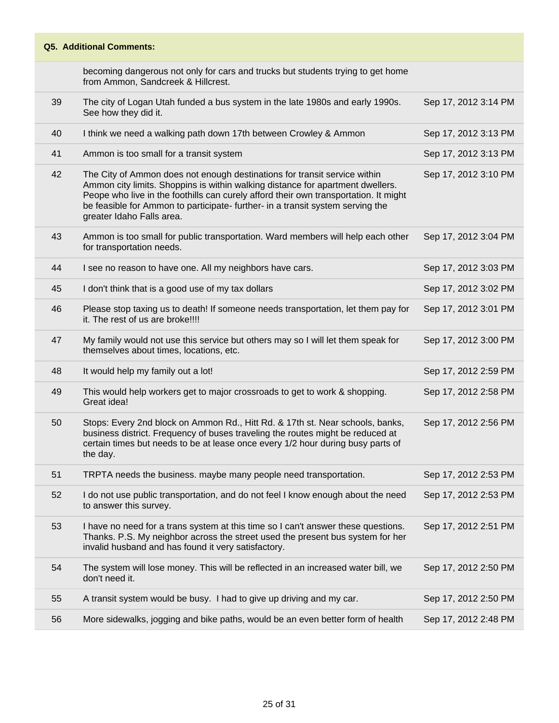becoming dangerous not only for cars and trucks but students trying to get home from Ammon, Sandcreek & Hillcrest.

| 39 | The city of Logan Utah funded a bus system in the late 1980s and early 1990s.<br>See how they did it.                                                                                                                                                                                                                                                              | Sep 17, 2012 3:14 PM |
|----|--------------------------------------------------------------------------------------------------------------------------------------------------------------------------------------------------------------------------------------------------------------------------------------------------------------------------------------------------------------------|----------------------|
| 40 | I think we need a walking path down 17th between Crowley & Ammon                                                                                                                                                                                                                                                                                                   | Sep 17, 2012 3:13 PM |
| 41 | Ammon is too small for a transit system                                                                                                                                                                                                                                                                                                                            | Sep 17, 2012 3:13 PM |
| 42 | The City of Ammon does not enough destinations for transit service within<br>Ammon city limits. Shoppins is within walking distance for apartment dwellers.<br>Peope who live in the foothills can curely afford their own transportation. It might<br>be feasible for Ammon to participate- further- in a transit system serving the<br>greater Idaho Falls area. | Sep 17, 2012 3:10 PM |
| 43 | Ammon is too small for public transportation. Ward members will help each other<br>for transportation needs.                                                                                                                                                                                                                                                       | Sep 17, 2012 3:04 PM |
| 44 | I see no reason to have one. All my neighbors have cars.                                                                                                                                                                                                                                                                                                           | Sep 17, 2012 3:03 PM |
| 45 | I don't think that is a good use of my tax dollars                                                                                                                                                                                                                                                                                                                 | Sep 17, 2012 3:02 PM |
| 46 | Please stop taxing us to death! If someone needs transportation, let them pay for<br>it. The rest of us are broke!!!!                                                                                                                                                                                                                                              | Sep 17, 2012 3:01 PM |
| 47 | My family would not use this service but others may so I will let them speak for<br>themselves about times, locations, etc.                                                                                                                                                                                                                                        | Sep 17, 2012 3:00 PM |
| 48 | It would help my family out a lot!                                                                                                                                                                                                                                                                                                                                 | Sep 17, 2012 2:59 PM |
| 49 | This would help workers get to major crossroads to get to work & shopping.<br>Great idea!                                                                                                                                                                                                                                                                          | Sep 17, 2012 2:58 PM |
| 50 | Stops: Every 2nd block on Ammon Rd., Hitt Rd. & 17th st. Near schools, banks,<br>business district. Frequency of buses traveling the routes might be reduced at<br>certain times but needs to be at lease once every 1/2 hour during busy parts of<br>the day.                                                                                                     | Sep 17, 2012 2:56 PM |
| 51 | TRPTA needs the business. maybe many people need transportation.                                                                                                                                                                                                                                                                                                   | Sep 17, 2012 2:53 PM |
| 52 | I do not use public transportation, and do not feel I know enough about the need<br>to answer this survey.                                                                                                                                                                                                                                                         | Sep 17, 2012 2:53 PM |
| 53 | I have no need for a trans system at this time so I can't answer these questions.<br>Thanks. P.S. My neighbor across the street used the present bus system for her<br>invalid husband and has found it very satisfactory.                                                                                                                                         | Sep 17, 2012 2:51 PM |
| 54 | The system will lose money. This will be reflected in an increased water bill, we<br>don't need it.                                                                                                                                                                                                                                                                | Sep 17, 2012 2:50 PM |
|    |                                                                                                                                                                                                                                                                                                                                                                    |                      |
| 55 | A transit system would be busy. I had to give up driving and my car.                                                                                                                                                                                                                                                                                               | Sep 17, 2012 2:50 PM |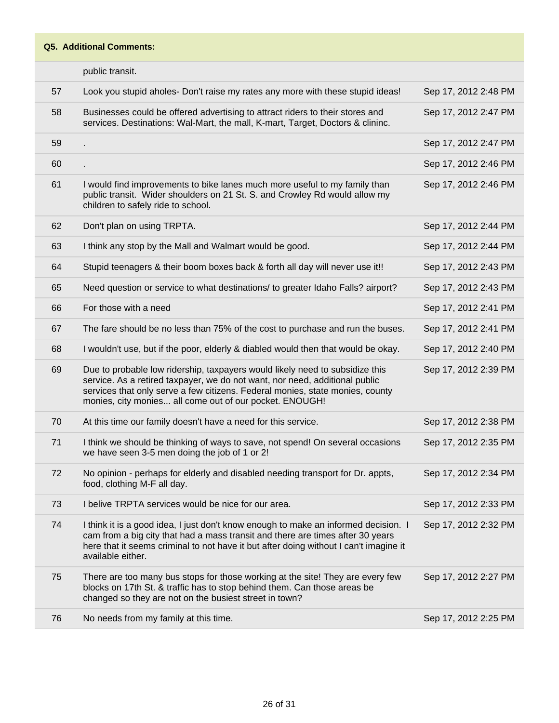|    | public transit.                                                                                                                                                                                                                                                                                         |                      |
|----|---------------------------------------------------------------------------------------------------------------------------------------------------------------------------------------------------------------------------------------------------------------------------------------------------------|----------------------|
| 57 | Look you stupid aholes- Don't raise my rates any more with these stupid ideas!                                                                                                                                                                                                                          | Sep 17, 2012 2:48 PM |
| 58 | Businesses could be offered advertising to attract riders to their stores and<br>services. Destinations: Wal-Mart, the mall, K-mart, Target, Doctors & clininc.                                                                                                                                         | Sep 17, 2012 2:47 PM |
| 59 |                                                                                                                                                                                                                                                                                                         | Sep 17, 2012 2:47 PM |
| 60 |                                                                                                                                                                                                                                                                                                         | Sep 17, 2012 2:46 PM |
| 61 | I would find improvements to bike lanes much more useful to my family than<br>public transit. Wider shoulders on 21 St. S. and Crowley Rd would allow my<br>children to safely ride to school.                                                                                                          | Sep 17, 2012 2:46 PM |
| 62 | Don't plan on using TRPTA.                                                                                                                                                                                                                                                                              | Sep 17, 2012 2:44 PM |
| 63 | I think any stop by the Mall and Walmart would be good.                                                                                                                                                                                                                                                 | Sep 17, 2012 2:44 PM |
| 64 | Stupid teenagers & their boom boxes back & forth all day will never use it!!                                                                                                                                                                                                                            | Sep 17, 2012 2:43 PM |
| 65 | Need question or service to what destinations/ to greater Idaho Falls? airport?                                                                                                                                                                                                                         | Sep 17, 2012 2:43 PM |
| 66 | For those with a need                                                                                                                                                                                                                                                                                   | Sep 17, 2012 2:41 PM |
| 67 | The fare should be no less than 75% of the cost to purchase and run the buses.                                                                                                                                                                                                                          | Sep 17, 2012 2:41 PM |
| 68 | I wouldn't use, but if the poor, elderly & diabled would then that would be okay.                                                                                                                                                                                                                       | Sep 17, 2012 2:40 PM |
| 69 | Due to probable low ridership, taxpayers would likely need to subsidize this<br>service. As a retired taxpayer, we do not want, nor need, additional public<br>services that only serve a few citizens. Federal monies, state monies, county<br>monies, city monies all come out of our pocket. ENOUGH! | Sep 17, 2012 2:39 PM |
| 70 | At this time our family doesn't have a need for this service.                                                                                                                                                                                                                                           | Sep 17, 2012 2:38 PM |
| 71 | I think we should be thinking of ways to save, not spend! On several occasions<br>we have seen 3-5 men doing the job of 1 or 2!                                                                                                                                                                         | Sep 17, 2012 2:35 PM |
| 72 | No opinion - perhaps for elderly and disabled needing transport for Dr. appts,<br>food, clothing M-F all day.                                                                                                                                                                                           | Sep 17, 2012 2:34 PM |
| 73 | I belive TRPTA services would be nice for our area.                                                                                                                                                                                                                                                     | Sep 17, 2012 2:33 PM |
| 74 | I think it is a good idea, I just don't know enough to make an informed decision. I<br>cam from a big city that had a mass transit and there are times after 30 years<br>here that it seems criminal to not have it but after doing without I can't imagine it<br>available either.                     | Sep 17, 2012 2:32 PM |
| 75 | There are too many bus stops for those working at the site! They are every few<br>blocks on 17th St. & traffic has to stop behind them. Can those areas be<br>changed so they are not on the busiest street in town?                                                                                    | Sep 17, 2012 2:27 PM |
| 76 | No needs from my family at this time.                                                                                                                                                                                                                                                                   | Sep 17, 2012 2:25 PM |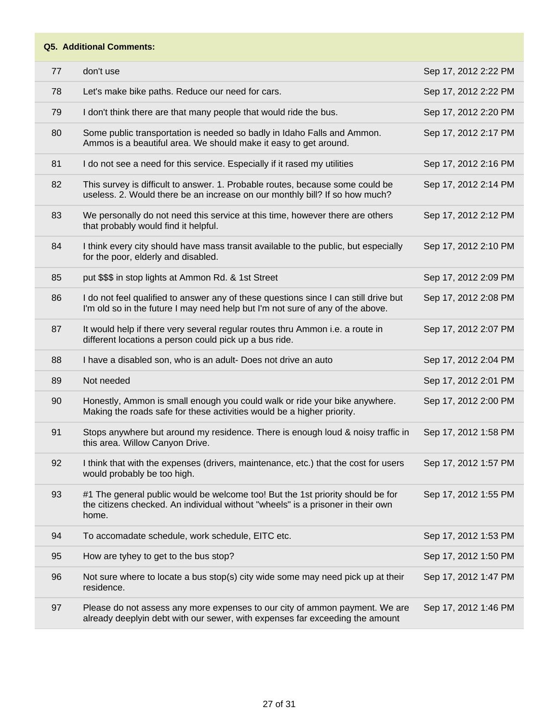| 77 | don't use                                                                                                                                                                  | Sep 17, 2012 2:22 PM |
|----|----------------------------------------------------------------------------------------------------------------------------------------------------------------------------|----------------------|
| 78 | Let's make bike paths. Reduce our need for cars.                                                                                                                           | Sep 17, 2012 2:22 PM |
| 79 | I don't think there are that many people that would ride the bus.                                                                                                          | Sep 17, 2012 2:20 PM |
| 80 | Some public transportation is needed so badly in Idaho Falls and Ammon.<br>Ammos is a beautiful area. We should make it easy to get around.                                | Sep 17, 2012 2:17 PM |
| 81 | I do not see a need for this service. Especially if it rased my utilities                                                                                                  | Sep 17, 2012 2:16 PM |
| 82 | This survey is difficult to answer. 1. Probable routes, because some could be<br>useless. 2. Would there be an increase on our monthly bill? If so how much?               | Sep 17, 2012 2:14 PM |
| 83 | We personally do not need this service at this time, however there are others<br>that probably would find it helpful.                                                      | Sep 17, 2012 2:12 PM |
| 84 | I think every city should have mass transit available to the public, but especially<br>for the poor, elderly and disabled.                                                 | Sep 17, 2012 2:10 PM |
| 85 | put \$\$\$ in stop lights at Ammon Rd. & 1st Street                                                                                                                        | Sep 17, 2012 2:09 PM |
| 86 | I do not feel qualified to answer any of these questions since I can still drive but<br>I'm old so in the future I may need help but I'm not sure of any of the above.     | Sep 17, 2012 2:08 PM |
| 87 | It would help if there very several regular routes thru Ammon i.e. a route in<br>different locations a person could pick up a bus ride.                                    | Sep 17, 2012 2:07 PM |
| 88 | I have a disabled son, who is an adult- Does not drive an auto                                                                                                             | Sep 17, 2012 2:04 PM |
| 89 | Not needed                                                                                                                                                                 | Sep 17, 2012 2:01 PM |
| 90 | Honestly, Ammon is small enough you could walk or ride your bike anywhere.<br>Making the roads safe for these activities would be a higher priority.                       | Sep 17, 2012 2:00 PM |
| 91 | Stops anywhere but around my residence. There is enough loud & noisy traffic in<br>this area. Willow Canyon Drive.                                                         | Sep 17, 2012 1:58 PM |
| 92 | I think that with the expenses (drivers, maintenance, etc.) that the cost for users<br>would probably be too high.                                                         | Sep 17, 2012 1:57 PM |
| 93 | #1 The general public would be welcome too! But the 1st priority should be for<br>the citizens checked. An individual without "wheels" is a prisoner in their own<br>home. | Sep 17, 2012 1:55 PM |
| 94 | To accomadate schedule, work schedule, EITC etc.                                                                                                                           | Sep 17, 2012 1:53 PM |
| 95 | How are tyhey to get to the bus stop?                                                                                                                                      | Sep 17, 2012 1:50 PM |
| 96 | Not sure where to locate a bus stop(s) city wide some may need pick up at their<br>residence.                                                                              | Sep 17, 2012 1:47 PM |
| 97 | Please do not assess any more expenses to our city of ammon payment. We are<br>already deeplyin debt with our sewer, with expenses far exceeding the amount                | Sep 17, 2012 1:46 PM |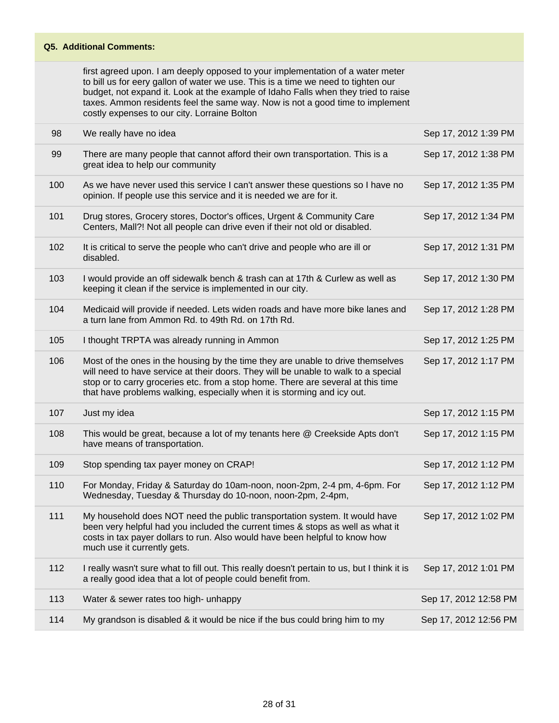first agreed upon. I am deeply opposed to your implementation of a water meter to bill us for eery gallon of water we use. This is a time we need to tighten our budget, not expand it. Look at the example of Idaho Falls when they tried to raise taxes. Ammon residents feel the same way. Now is not a good time to implement costly expenses to our city. Lorraine Bolton

| 98  | We really have no idea                                                                                                                                                                                                                                                                                                               | Sep 17, 2012 1:39 PM  |
|-----|--------------------------------------------------------------------------------------------------------------------------------------------------------------------------------------------------------------------------------------------------------------------------------------------------------------------------------------|-----------------------|
| 99  | There are many people that cannot afford their own transportation. This is a<br>great idea to help our community                                                                                                                                                                                                                     | Sep 17, 2012 1:38 PM  |
| 100 | As we have never used this service I can't answer these questions so I have no<br>opinion. If people use this service and it is needed we are for it.                                                                                                                                                                                | Sep 17, 2012 1:35 PM  |
| 101 | Drug stores, Grocery stores, Doctor's offices, Urgent & Community Care<br>Centers, Mall?! Not all people can drive even if their not old or disabled.                                                                                                                                                                                | Sep 17, 2012 1:34 PM  |
| 102 | It is critical to serve the people who can't drive and people who are ill or<br>disabled.                                                                                                                                                                                                                                            | Sep 17, 2012 1:31 PM  |
| 103 | I would provide an off sidewalk bench & trash can at 17th & Curlew as well as<br>keeping it clean if the service is implemented in our city.                                                                                                                                                                                         | Sep 17, 2012 1:30 PM  |
| 104 | Medicaid will provide if needed. Lets widen roads and have more bike lanes and<br>a turn lane from Ammon Rd. to 49th Rd. on 17th Rd.                                                                                                                                                                                                 | Sep 17, 2012 1:28 PM  |
| 105 | I thought TRPTA was already running in Ammon                                                                                                                                                                                                                                                                                         | Sep 17, 2012 1:25 PM  |
| 106 | Most of the ones in the housing by the time they are unable to drive themselves<br>will need to have service at their doors. They will be unable to walk to a special<br>stop or to carry groceries etc. from a stop home. There are several at this time<br>that have problems walking, especially when it is storming and icy out. | Sep 17, 2012 1:17 PM  |
| 107 | Just my idea                                                                                                                                                                                                                                                                                                                         | Sep 17, 2012 1:15 PM  |
|     |                                                                                                                                                                                                                                                                                                                                      |                       |
| 108 | This would be great, because a lot of my tenants here @ Creekside Apts don't<br>have means of transportation.                                                                                                                                                                                                                        | Sep 17, 2012 1:15 PM  |
| 109 | Stop spending tax payer money on CRAP!                                                                                                                                                                                                                                                                                               | Sep 17, 2012 1:12 PM  |
| 110 | For Monday, Friday & Saturday do 10am-noon, noon-2pm, 2-4 pm, 4-6pm. For<br>Wednesday, Tuesday & Thursday do 10-noon, noon-2pm, 2-4pm,                                                                                                                                                                                               | Sep 17, 2012 1:12 PM  |
| 111 | My household does NOT need the public transportation system. It would have<br>been very helpful had you included the current times & stops as well as what it<br>costs in tax payer dollars to run. Also would have been helpful to know how<br>much use it currently gets.                                                          | Sep 17, 2012 1:02 PM  |
| 112 | I really wasn't sure what to fill out. This really doesn't pertain to us, but I think it is<br>a really good idea that a lot of people could benefit from.                                                                                                                                                                           | Sep 17, 2012 1:01 PM  |
| 113 | Water & sewer rates too high- unhappy                                                                                                                                                                                                                                                                                                | Sep 17, 2012 12:58 PM |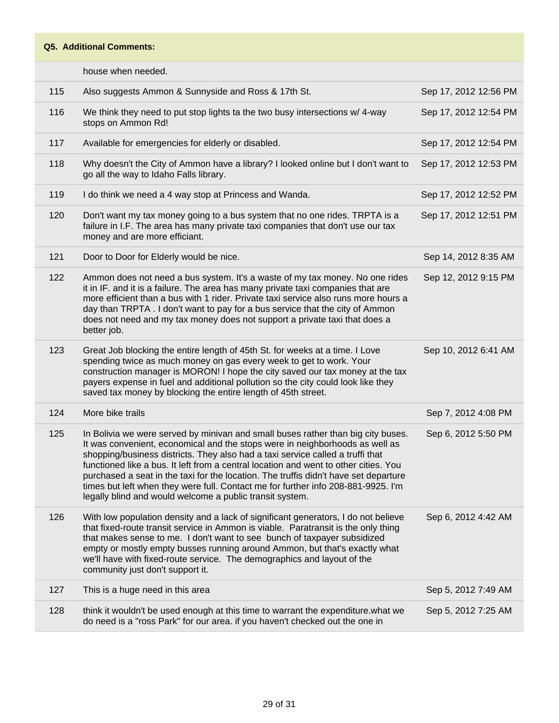house when needed.

| 115 | Also suggests Ammon & Sunnyside and Ross & 17th St.                                                                                                                                                                                                                                                                                                                                                                                                                                                                                                                                 | Sep 17, 2012 12:56 PM |
|-----|-------------------------------------------------------------------------------------------------------------------------------------------------------------------------------------------------------------------------------------------------------------------------------------------------------------------------------------------------------------------------------------------------------------------------------------------------------------------------------------------------------------------------------------------------------------------------------------|-----------------------|
| 116 | We think they need to put stop lights ta the two busy intersections w/ 4-way<br>stops on Ammon Rd!                                                                                                                                                                                                                                                                                                                                                                                                                                                                                  | Sep 17, 2012 12:54 PM |
| 117 | Available for emergencies for elderly or disabled.                                                                                                                                                                                                                                                                                                                                                                                                                                                                                                                                  | Sep 17, 2012 12:54 PM |
| 118 | Why doesn't the City of Ammon have a library? I looked online but I don't want to<br>go all the way to Idaho Falls library.                                                                                                                                                                                                                                                                                                                                                                                                                                                         | Sep 17, 2012 12:53 PM |
| 119 | I do think we need a 4 way stop at Princess and Wanda.                                                                                                                                                                                                                                                                                                                                                                                                                                                                                                                              | Sep 17, 2012 12:52 PM |
| 120 | Don't want my tax money going to a bus system that no one rides. TRPTA is a<br>failure in I.F. The area has many private taxi companies that don't use our tax<br>money and are more efficiant.                                                                                                                                                                                                                                                                                                                                                                                     | Sep 17, 2012 12:51 PM |
| 121 | Door to Door for Elderly would be nice.                                                                                                                                                                                                                                                                                                                                                                                                                                                                                                                                             | Sep 14, 2012 8:35 AM  |
| 122 | Ammon does not need a bus system. It's a waste of my tax money. No one rides<br>it in IF. and it is a failure. The area has many private taxi companies that are<br>more efficient than a bus with 1 rider. Private taxi service also runs more hours a<br>day than TRPTA. I don't want to pay for a bus service that the city of Ammon<br>does not need and my tax money does not support a private taxi that does a<br>better job.                                                                                                                                                | Sep 12, 2012 9:15 PM  |
| 123 | Great Job blocking the entire length of 45th St. for weeks at a time. I Love<br>spending twice as much money on gas every week to get to work. Your<br>construction manager is MORON! I hope the city saved our tax money at the tax<br>payers expense in fuel and additional pollution so the city could look like they<br>saved tax money by blocking the entire length of 45th street.                                                                                                                                                                                           | Sep 10, 2012 6:41 AM  |
| 124 | More bike trails                                                                                                                                                                                                                                                                                                                                                                                                                                                                                                                                                                    | Sep 7, 2012 4:08 PM   |
| 125 | In Bolivia we were served by minivan and small buses rather than big city buses.<br>It was convenient, economical and the stops were in neighborhoods as well as<br>shopping/business districts. They also had a taxi service called a truffi that<br>functioned like a bus. It left from a central location and went to other cities. You<br>purchased a seat in the taxi for the location. The truffis didn't have set departure<br>times but left when they were full. Contact me for further info 208-881-9925. I'm<br>legally blind and would welcome a public transit system. | Sep 6, 2012 5:50 PM   |
| 126 | With low population density and a lack of significant generators, I do not believe<br>that fixed-route transit service in Ammon is viable. Paratransit is the only thing<br>that makes sense to me. I don't want to see bunch of taxpayer subsidized<br>empty or mostly empty busses running around Ammon, but that's exactly what<br>we'll have with fixed-route service. The demographics and layout of the<br>community just don't support it.                                                                                                                                   | Sep 6, 2012 4:42 AM   |
| 127 | This is a huge need in this area                                                                                                                                                                                                                                                                                                                                                                                                                                                                                                                                                    | Sep 5, 2012 7:49 AM   |
| 128 | think it wouldn't be used enough at this time to warrant the expenditure. what we<br>do need is a "ross Park" for our area. if you haven't checked out the one in                                                                                                                                                                                                                                                                                                                                                                                                                   | Sep 5, 2012 7:25 AM   |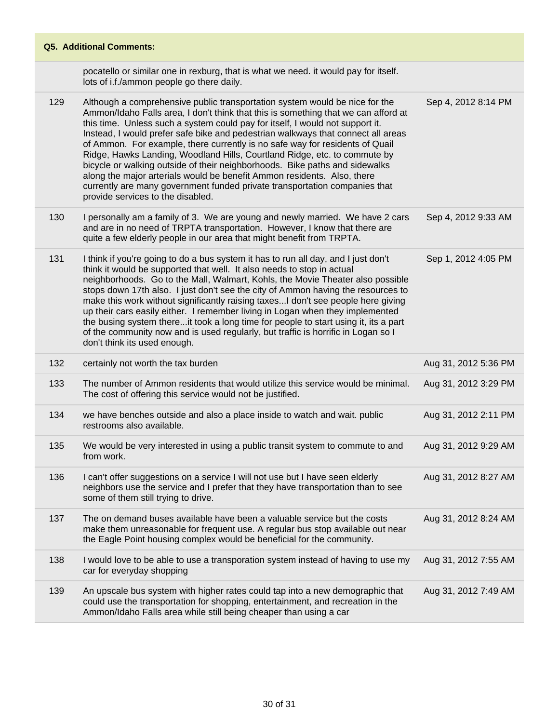## **Q5. Additional Comments:** pocatello or similar one in rexburg, that is what we need. it would pay for itself. lots of i.f./ammon people go there daily. 129 Although a comprehensive public transportation system would be nice for the Ammon/Idaho Falls area, I don't think that this is something that we can afford at this time. Unless such a system could pay for itself, I would not support it. Instead, I would prefer safe bike and pedestrian walkways that connect all areas of Ammon. For example, there currently is no safe way for residents of Quail Ridge, Hawks Landing, Woodland Hills, Courtland Ridge, etc. to commute by bicycle or walking outside of their neighborhoods. Bike paths and sidewalks along the major arterials would be benefit Ammon residents. Also, there currently are many government funded private transportation companies that provide services to the disabled. Sep 4, 2012 8:14 PM 130 I personally am a family of 3. We are young and newly married. We have 2 cars and are in no need of TRPTA transportation. However, I know that there are quite a few elderly people in our area that might benefit from TRPTA. Sep 4, 2012 9:33 AM 131 I think if you're going to do a bus system it has to run all day, and I just don't

- think it would be supported that well. It also needs to stop in actual neighborhoods. Go to the Mall, Walmart, Kohls, the Movie Theater also possible stops down 17th also. I just don't see the city of Ammon having the resources to make this work without significantly raising taxes...I don't see people here giving up their cars easily either. I remember living in Logan when they implemented the busing system there...it took a long time for people to start using it, its a part of the community now and is used regularly, but traffic is horrific in Logan so I don't think its used enough. Sep 1, 2012 4:05 PM 132 certainly not worth the tax burden Aug 31, 2012 5:36 PM
- 133 The number of Ammon residents that would utilize this service would be minimal. The cost of offering this service would not be justified. Aug 31, 2012 3:29 PM 134 we have benches outside and also a place inside to watch and wait. public restrooms also available. Aug 31, 2012 2:11 PM 135 We would be very interested in using a public transit system to commute to and from work. Aug 31, 2012 9:29 AM 136 I can't offer suggestions on a service I will not use but I have seen elderly neighbors use the service and I prefer that they have transportation than to see some of them still trying to drive. Aug 31, 2012 8:27 AM 137 The on demand buses available have been a valuable service but the costs make them unreasonable for frequent use. A regular bus stop available out near the Eagle Point housing complex would be beneficial for the community. Aug 31, 2012 8:24 AM 138 I would love to be able to use a transporation system instead of having to use my car for everyday shopping Aug 31, 2012 7:55 AM
- 139 An upscale bus system with higher rates could tap into a new demographic that could use the transportation for shopping, entertainment, and recreation in the Ammon/Idaho Falls area while still being cheaper than using a car Aug 31, 2012 7:49 AM